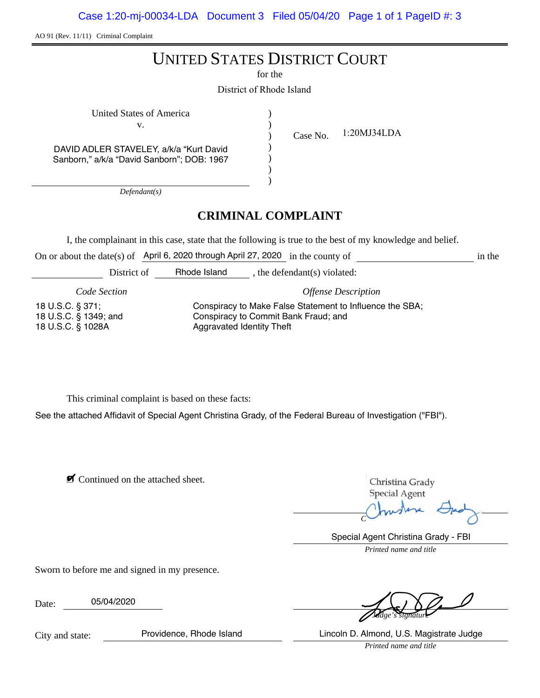Case 1:20-mj-00034-LDA Document 3 Filed 05/04/20 Page 1 of 1 PageID #: 3

AO 91 (Rev. 11/11) Criminal Complaint

# UNITED STATES DISTRICT COURT

for the

District of Rhode Island

| United States of America                   |  |
|--------------------------------------------|--|
| V.                                         |  |
|                                            |  |
| DAVID ADLER STAVELEY, a/k/a "Kurt David    |  |
| Sanborn," a/k/a "David Sanborn"; DOB: 1967 |  |
|                                            |  |
|                                            |  |

Case No. 1:20MJ34LDA

*Defendant(s)*

## **CRIMINAL COMPLAINT**

I, the complainant in this case, state that the following is true to the best of my knowledge and belief.

On or about the date(s) of April 6, 2020 through April 27, 2020 in the county of in the counter-

District of **Rhode Island** , the defendant(s) violated:

*Code Section Offense Description*

18 U.S.C. § 371; 18 U.S.C. § 1349; and 18 U.S.C. § 1028A

Conspiracy to Make False Statement to Influence the SBA; Conspiracy to Commit Bank Fraud; and Aggravated Identity Theft

This criminal complaint is based on these facts:

See the attached Affidavit of Special Agent Christina Grady, of the Federal Bureau of Investigation ("FBI").

■ Continued on the attached sheet.

Christina Grady **Special Agent** 

*Complainant's signature*

*Printed name and title* Special Agent Christina Grady - FBI

Sworn to before me and signed in my presence.

Date: 05/04/2020

*Judge's signature*

*Printed name and title* Providence, Rhode Island Lincoln D. Almond, U.S. Magistrate Judge

City and state: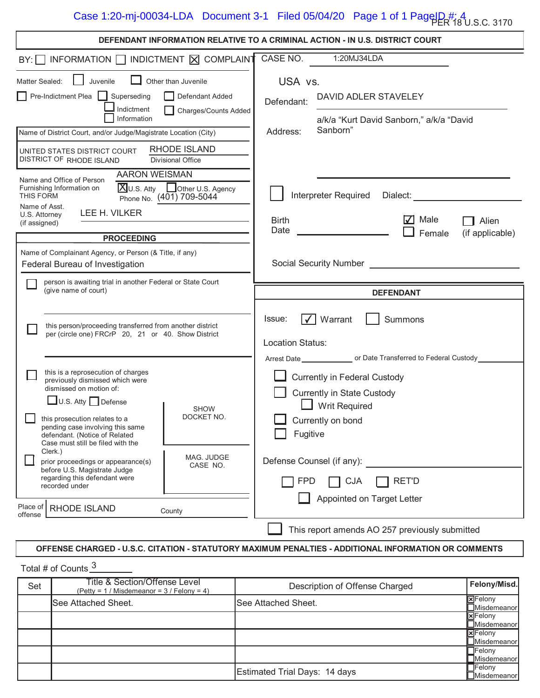| DEFENDANT INFORMATION RELATIVE TO A CRIMINAL ACTION - IN U.S. DISTRICT COURT                                                                                                                                                              |                                                                   |                            |                                                                                                                                                                                                         |                           |                          |  |
|-------------------------------------------------------------------------------------------------------------------------------------------------------------------------------------------------------------------------------------------|-------------------------------------------------------------------|----------------------------|---------------------------------------------------------------------------------------------------------------------------------------------------------------------------------------------------------|---------------------------|--------------------------|--|
| $BY:$ INFORMATION $\Box$ INDICTMENT $\boxtimes$ COMPLAINT                                                                                                                                                                                 |                                                                   | CASE NO.                   | 1:20MJ34LDA                                                                                                                                                                                             |                           |                          |  |
| Juvenile<br>Matter Sealed:                                                                                                                                                                                                                | Other than Juvenile                                               | USA vs.                    |                                                                                                                                                                                                         |                           |                          |  |
| Pre-Indictment Plea<br>Superseding<br>Indictment<br>Information                                                                                                                                                                           | Defendant Added<br>Charges/Counts Added                           | Defendant:                 | DAVID ADLER STAVELEY<br>a/k/a "Kurt David Sanborn," a/k/a "David                                                                                                                                        |                           |                          |  |
| Name of District Court, and/or Judge/Magistrate Location (City)                                                                                                                                                                           |                                                                   | Address:                   | Sanborn"                                                                                                                                                                                                |                           |                          |  |
| UNITED STATES DISTRICT COURT<br>DISTRICT OF RHODE ISLAND                                                                                                                                                                                  | <b>RHODE ISLAND</b><br>Divisional Office                          |                            |                                                                                                                                                                                                         |                           |                          |  |
| <b>AARON WEISMAN</b><br>Name and Office of Person<br>Furnishing Information on<br>THIS FORM<br>Name of Asst.                                                                                                                              | <b>X</b> U.S. Atty LOther U.S. Agency<br>Phone No. (401) 709-5044 |                            | Interpreter Required                                                                                                                                                                                    | Dialect:                  |                          |  |
| LEE H. VILKER<br>U.S. Attorney<br>(if assigned)                                                                                                                                                                                           |                                                                   | Birth<br>Date              |                                                                                                                                                                                                         | $\sqrt{ }$ Male<br>Female | Alien<br>(if applicable) |  |
| <b>PROCEEDING</b>                                                                                                                                                                                                                         |                                                                   |                            |                                                                                                                                                                                                         |                           |                          |  |
| Name of Complainant Agency, or Person (& Title, if any)<br>Federal Bureau of Investigation                                                                                                                                                |                                                                   |                            | Social Security Number Social Security Number                                                                                                                                                           |                           |                          |  |
| person is awaiting trial in another Federal or State Court<br>(give name of court)                                                                                                                                                        |                                                                   |                            |                                                                                                                                                                                                         |                           |                          |  |
|                                                                                                                                                                                                                                           |                                                                   |                            |                                                                                                                                                                                                         | <b>DEFENDANT</b>          |                          |  |
| this person/proceeding transferred from another district<br>per (circle one) FRCrP 20, 21 or 40. Show District                                                                                                                            |                                                                   | Issue:<br>Location Status: | Warrant                                                                                                                                                                                                 | Summons                   |                          |  |
| this is a reprosecution of charges<br>previously dismissed which were<br>dismissed on motion of:<br>$\Box$ U.S. Atty $\Box$ Defense<br>this prosecution relates to a<br>pending case involving this same<br>defendant. (Notice of Related | <b>SHOW</b><br>DOCKET NO.                                         | Fugitive                   | Arrest Date __________________ or Date Transferred to Federal Custody ________<br><b>Currently in Federal Custody</b><br><b>Currently in State Custody</b><br><b>Writ Required</b><br>Currently on bond |                           |                          |  |
| Case must still be filed with the<br>Clerk.)<br>prior proceedings or appearance(s)<br>before U.S. Magistrate Judge<br>regarding this defendant were<br>recorded under                                                                     | MAG. JUDGE<br>CASE NO.                                            | <b>FPD</b>                 | Defense Counsel (if any):<br><b>CJA</b>                                                                                                                                                                 | <b>RET'D</b>              |                          |  |
| Place of<br>RHODE ISLAND<br>offense                                                                                                                                                                                                       | County                                                            |                            | Appointed on Target Letter                                                                                                                                                                              |                           |                          |  |

## **OFFENSE CHARGED - U.S.C. CITATION - STATUTORY MAXIMUM PENALTIES - ADDITIONAL INFORMATION OR COMMENTS**

Total # of Counts 3

| Set | Title & Section/Offense Level<br>(Petty = $1 /$ Misdemeanor = $3 /$ Felony = 4) | Description of Offense Charged | Felony/Misd.                            |
|-----|---------------------------------------------------------------------------------|--------------------------------|-----------------------------------------|
|     | See Attached Sheet.                                                             | ISee Attached Sheet.           | <b>XFelony</b><br>Misdemeanor           |
|     |                                                                                 |                                | <b>X</b> Felony<br>Misdemeanor          |
|     |                                                                                 |                                | <b>X</b> Felony<br><b>□</b> Misdemeanor |
|     |                                                                                 |                                | <b>T</b> Felony<br>Misdemeanor          |
|     |                                                                                 | Estimated Trial Days: 14 days  | <b>TFelony</b><br>Misdemeanor           |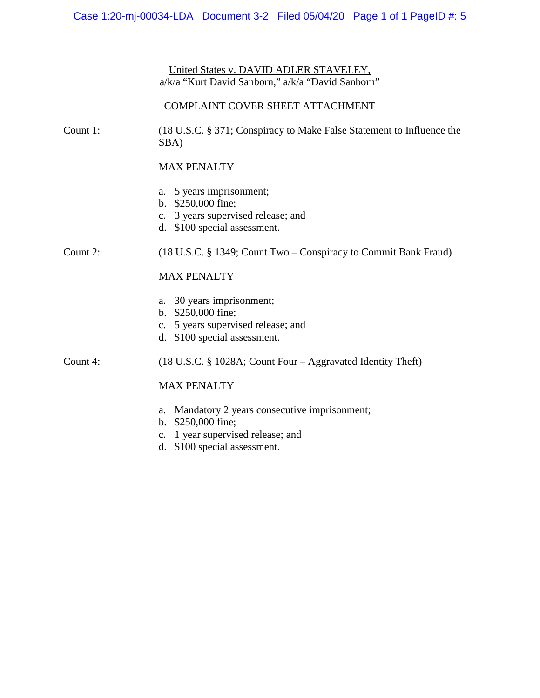## United States v. DAVID ADLER STAVELEY, a/k/a "Kurt David Sanborn," a/k/a "David Sanborn"

### COMPLAINT COVER SHEET ATTACHMENT

Count 1: (18 U.S.C. § 371; Conspiracy to Make False Statement to Influence the SBA)

## MAX PENALTY

- a. 5 years imprisonment;
- b. \$250,000 fine;
- c. 3 years supervised release; and
- d. \$100 special assessment.

## Count 2: (18 U.S.C. § 1349; Count Two – Conspiracy to Commit Bank Fraud)

## MAX PENALTY

- a. 30 years imprisonment;
- b. \$250,000 fine;
- c. 5 years supervised release; and
- d. \$100 special assessment.

## Count 4: (18 U.S.C. § 1028A; Count Four – Aggravated Identity Theft)

## MAX PENALTY

- a. Mandatory 2 years consecutive imprisonment;
- b. \$250,000 fine;
- c. 1 year supervised release; and
- d. \$100 special assessment.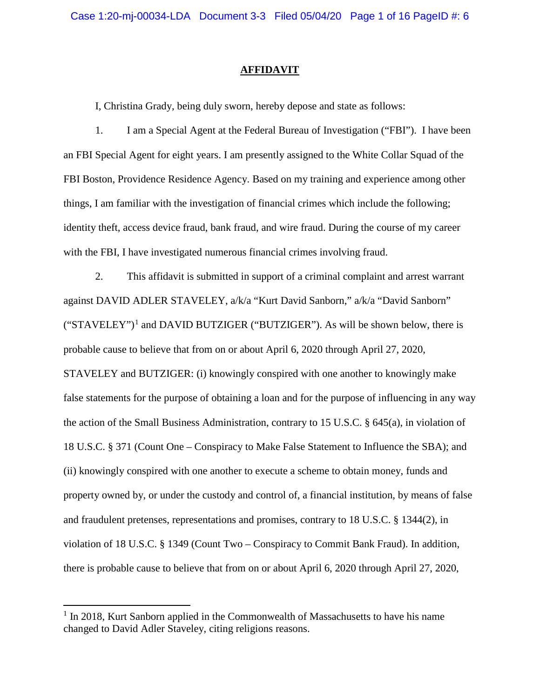#### <span id="page-3-0"></span>**AFFIDAVIT**

I, Christina Grady, being duly sworn, hereby depose and state as follows:

1. I am a Special Agent at the Federal Bureau of Investigation (["FBI"](#page-3-0)). I have been an FBI Special Agent for eight years. I am presently assigned to the White Collar Squad of the FBI Boston, Providence Residence Agency. Based on my training and experience among other things, I am familiar with the investigation of financial crimes which include the following; identity theft, access device fraud, bank fraud, and wire fraud. During the course of my career with the FBI, I have investigated numerous financial crimes involving fraud.

2. This affidavit is submitted in support of a criminal complaint and arrest warrant against DAVID ADLER STAVELEY, a/k/a "Kurt David Sanborn," a/k/a "David Sanborn"  $("STAVELEY")<sup>1</sup>$  $("STAVELEY")<sup>1</sup>$  $("STAVELEY")<sup>1</sup>$  and DAVID BUTZIGER ("BUTZIGER"). As will be shown below, there is probable cause to believe that from on or about April 6, 2020 through April 27, 2020, STAVELEY and BUTZIGER: (i) knowingly conspired with one another to knowingly make false statements for the purpose of obtaining a loan and for the purpose of influencing in any way the action of the Small Business Administration, contrary to 15 U.S.C. § 645(a), in violation of 18 U.S.C. § 371 (Count One – Conspiracy to Make False Statement to Influence the SBA); and (ii) knowingly conspired with one another to execute a scheme to obtain money, funds and property owned by, or under the custody and control of, a financial institution, by means of false and fraudulent pretenses, representations and promises, contrary to 18 U.S.C. § 1344(2), in violation of 18 U.S.C. § 1349 (Count Two – Conspiracy to Commit Bank Fraud). In addition, there is probable cause to believe that from on or about April 6, 2020 through April 27, 2020,

l

<span id="page-3-1"></span> $<sup>1</sup>$  In 2018, Kurt Sanborn applied in the Commonwealth of Massachusetts to have his name</sup> changed to David Adler Staveley, citing religions reasons.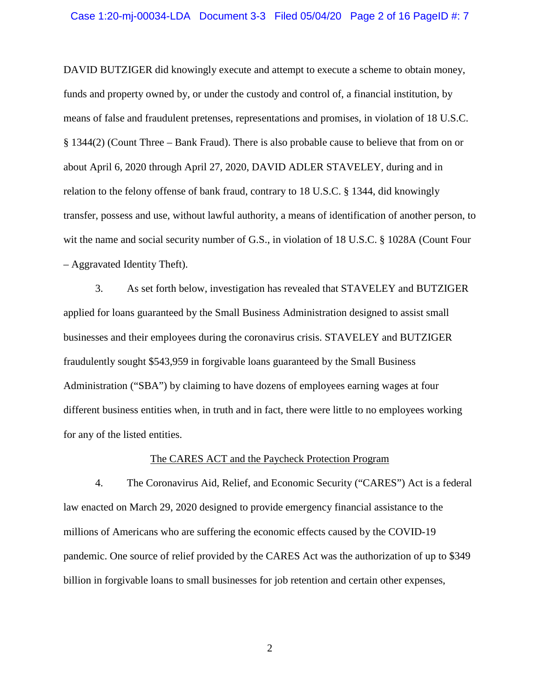DAVID BUTZIGER did knowingly execute and attempt to execute a scheme to obtain money, funds and property owned by, or under the custody and control of, a financial institution, by means of false and fraudulent pretenses, representations and promises, in violation of 18 U.S.C. § 1344(2) (Count Three – Bank Fraud). There is also probable cause to believe that from on or about April 6, 2020 through April 27, 2020, DAVID ADLER STAVELEY, during and in relation to the felony offense of bank fraud, contrary to 18 U.S.C. § 1344, did knowingly transfer, possess and use, without lawful authority, a means of identification of another person, to wit the name and social security number of G.S., in violation of 18 U.S.C. § 1028A (Count Four – Aggravated Identity Theft).

3. As set forth below, investigation has revealed that STAVELEY and BUTZIGER applied for loans guaranteed by the Small Business Administration designed to assist small businesses and their employees during the coronavirus crisis. STAVELEY and BUTZIGER fraudulently sought \$543,959 in forgivable loans guaranteed by the Small Business Administration ("SBA") by claiming to have dozens of employees earning wages at four different business entities when, in truth and in fact, there were little to no employees working for any of the listed entities.

#### The CARES ACT and the Paycheck Protection Program

4. The Coronavirus Aid, Relief, and Economic Security ("CARES") Act is a federal law enacted on March 29, 2020 designed to provide emergency financial assistance to the millions of Americans who are suffering the economic effects caused by the COVID-19 pandemic. One source of relief provided by the CARES Act was the authorization of up to \$349 billion in forgivable loans to small businesses for job retention and certain other expenses,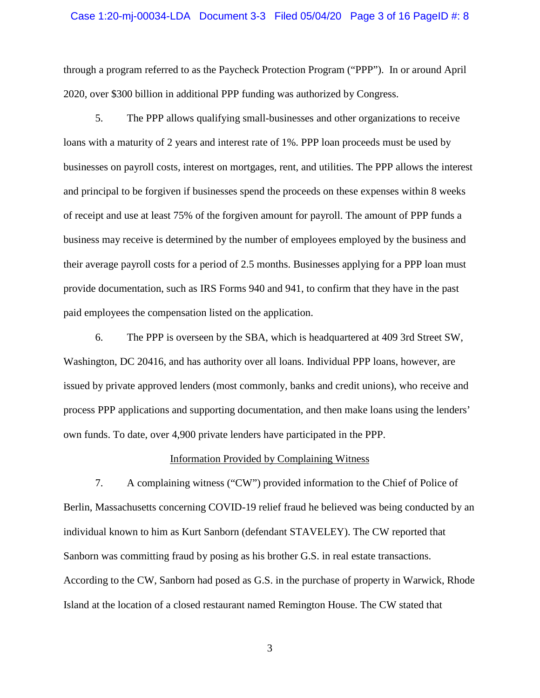#### Case 1:20-mj-00034-LDA Document 3-3 Filed 05/04/20 Page 3 of 16 PageID #: 8

through a program referred to as the Paycheck Protection Program ("PPP"). In or around April 2020, over \$300 billion in additional PPP funding was authorized by Congress.

5. The PPP allows qualifying small-businesses and other organizations to receive loans with a maturity of 2 years and interest rate of 1%. PPP loan proceeds must be used by businesses on payroll costs, interest on mortgages, rent, and utilities. The PPP allows the interest and principal to be forgiven if businesses spend the proceeds on these expenses within 8 weeks of receipt and use at least 75% of the forgiven amount for payroll. The amount of PPP funds a business may receive is determined by the number of employees employed by the business and their average payroll costs for a period of 2.5 months. Businesses applying for a PPP loan must provide documentation, such as IRS Forms 940 and 941, to confirm that they have in the past paid employees the compensation listed on the application.

6. The PPP is overseen by the SBA, which is headquartered at 409 3rd Street SW, Washington, DC 20416, and has authority over all loans. Individual PPP loans, however, are issued by private approved lenders (most commonly, banks and credit unions), who receive and process PPP applications and supporting documentation, and then make loans using the lenders' own funds. To date, over 4,900 private lenders have participated in the PPP.

#### Information Provided by Complaining Witness

7. A complaining witness ("CW") provided information to the Chief of Police of Berlin, Massachusetts concerning COVID-19 relief fraud he believed was being conducted by an individual known to him as Kurt Sanborn (defendant STAVELEY). The CW reported that Sanborn was committing fraud by posing as his brother G.S. in real estate transactions. According to the CW, Sanborn had posed as G.S. in the purchase of property in Warwick, Rhode Island at the location of a closed restaurant named Remington House. The CW stated that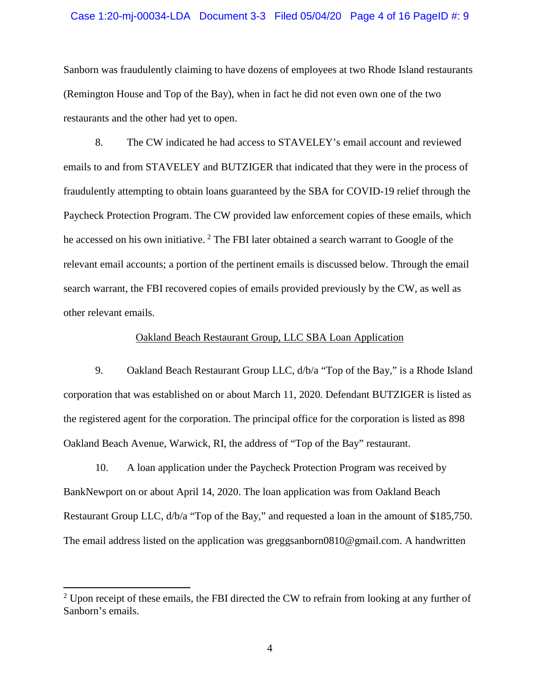#### Case 1:20-mj-00034-LDA Document 3-3 Filed 05/04/20 Page 4 of 16 PageID #: 9

Sanborn was fraudulently claiming to have dozens of employees at two Rhode Island restaurants (Remington House and Top of the Bay), when in fact he did not even own one of the two restaurants and the other had yet to open.

8. The CW indicated he had access to STAVELEY's email account and reviewed emails to and from STAVELEY and BUTZIGER that indicated that they were in the process of fraudulently attempting to obtain loans guaranteed by the SBA for COVID-19 relief through the Paycheck Protection Program. The CW provided law enforcement copies of these emails, which he accessed on his own initiative.  $2$  The FBI later obtained a search warrant to Google of the relevant email accounts; a portion of the pertinent emails is discussed below. Through the email search warrant, the FBI recovered copies of emails provided previously by the CW, as well as other relevant emails.

#### Oakland Beach Restaurant Group, LLC SBA Loan Application

9. Oakland Beach Restaurant Group LLC, d/b/a "Top of the Bay," is a Rhode Island corporation that was established on or about March 11, 2020. Defendant BUTZIGER is listed as the registered agent for the corporation. The principal office for the corporation is listed as 898 Oakland Beach Avenue, Warwick, RI, the address of "Top of the Bay" restaurant.

10. A loan application under the Paycheck Protection Program was received by BankNewport on or about April 14, 2020. The loan application was from Oakland Beach Restaurant Group LLC, d/b/a "Top of the Bay," and requested a loan in the amount of \$185,750. The email address listed on the application was [greggsanborn0810@gmail.com.](mailto:greggsanborn0810@gmail.com) A handwritten

l

<span id="page-6-0"></span> $2$  Upon receipt of these emails, the FBI directed the CW to refrain from looking at any further of Sanborn's emails.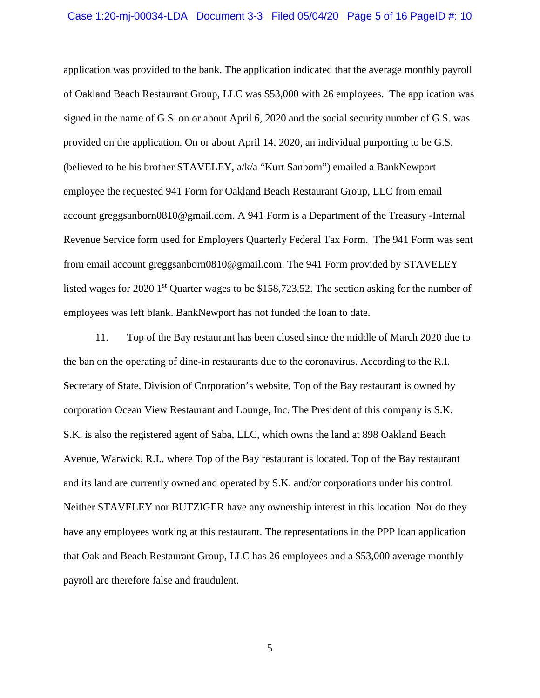application was provided to the bank. The application indicated that the average monthly payroll of Oakland Beach Restaurant Group, LLC was \$53,000 with 26 employees. The application was signed in the name of G.S. on or about April 6, 2020 and the social security number of G.S. was provided on the application. On or about April 14, 2020, an individual purporting to be G.S. (believed to be his brother STAVELEY, a/k/a "Kurt Sanborn") emailed a BankNewport employee the requested 941 Form for Oakland Beach Restaurant Group, LLC from email account [greggsanborn0810@gmail.com.](mailto:greggsanborn0810@gmail.com) A 941 Form is a Department of the Treasury -Internal Revenue Service form used for Employers Quarterly Federal Tax Form. The 941 Form was sent from email account [greggsanborn0810@gmail.com.](mailto:greggsanborn0810@gmail.com) The 941 Form provided by STAVELEY listed wages for 2020 1<sup>st</sup> Quarter wages to be \$158,723.52. The section asking for the number of employees was left blank. BankNewport has not funded the loan to date.

11. Top of the Bay restaurant has been closed since the middle of March 2020 due to the ban on the operating of dine-in restaurants due to the coronavirus. According to the R.I. Secretary of State, Division of Corporation's website, Top of the Bay restaurant is owned by corporation Ocean View Restaurant and Lounge, Inc. The President of this company is S.K. S.K. is also the registered agent of Saba, LLC, which owns the land at 898 Oakland Beach Avenue, Warwick, R.I., where Top of the Bay restaurant is located. Top of the Bay restaurant and its land are currently owned and operated by S.K. and/or corporations under his control. Neither STAVELEY nor BUTZIGER have any ownership interest in this location. Nor do they have any employees working at this restaurant. The representations in the PPP loan application that Oakland Beach Restaurant Group, LLC has 26 employees and a \$53,000 average monthly payroll are therefore false and fraudulent.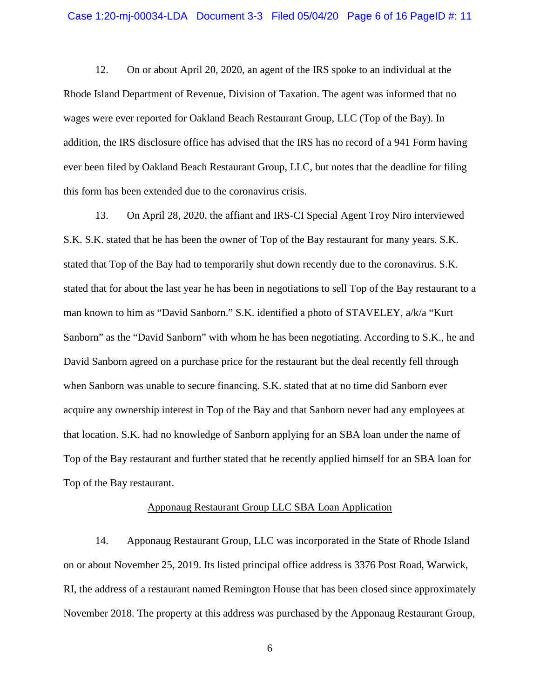12. On or about April 20, 2020, an agent of the IRS spoke to an individual at the Rhode Island Department of Revenue, Division of Taxation. The agent was informed that no wages were ever reported for Oakland Beach Restaurant Group, LLC (Top of the Bay). In addition, the IRS disclosure office has advised that the IRS has no record of a 941 Form having ever been filed by Oakland Beach Restaurant Group, LLC, but notes that the deadline for filing this form has been extended due to the coronavirus crisis.

13. On April 28, 2020, the affiant and IRS-CI Special Agent Troy Niro interviewed S.K. S.K. stated that he has been the owner of Top of the Bay restaurant for many years. S.K. stated that Top of the Bay had to temporarily shut down recently due to the coronavirus. S.K. stated that for about the last year he has been in negotiations to sell Top of the Bay restaurant to a man known to him as "David Sanborn." S.K. identified a photo of STAVELEY, a/k/a "Kurt Sanborn" as the "David Sanborn" with whom he has been negotiating. According to S.K., he and David Sanborn agreed on a purchase price for the restaurant but the deal recently fell through when Sanborn was unable to secure financing. S.K. stated that at no time did Sanborn ever acquire any ownership interest in Top of the Bay and that Sanborn never had any employees at that location. S.K. had no knowledge of Sanborn applying for an SBA loan under the name of Top of the Bay restaurant and further stated that he recently applied himself for an SBA loan for Top of the Bay restaurant.

#### Apponaug Restaurant Group LLC SBA Loan Application

14. Apponaug Restaurant Group, LLC was incorporated in the State of Rhode Island on or about November 25, 2019. Its listed principal office address is 3376 Post Road, Warwick, RI, the address of a restaurant named Remington House that has been closed since approximately November 2018. The property at this address was purchased by the Apponaug Restaurant Group,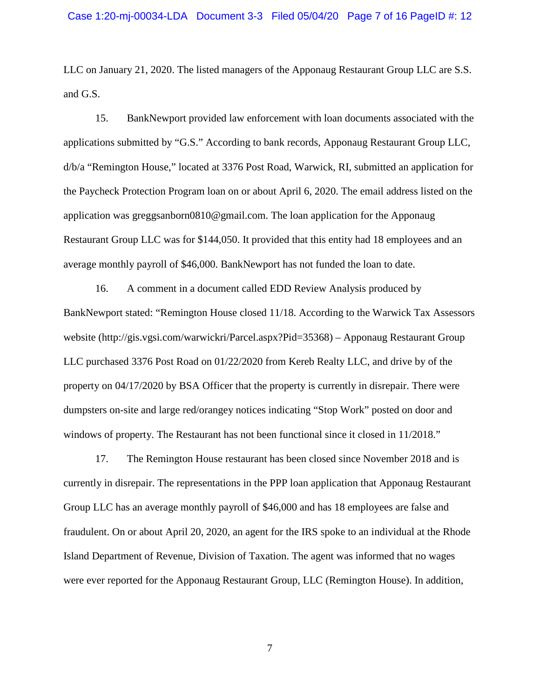LLC on January 21, 2020. The listed managers of the Apponaug Restaurant Group LLC are S.S. and G.S.

15. BankNewport provided law enforcement with loan documents associated with the applications submitted by "G.S." According to bank records, Apponaug Restaurant Group LLC, d/b/a "Remington House," located at 3376 Post Road, Warwick, RI, submitted an application for the Paycheck Protection Program loan on or about April 6, 2020. The email address listed on the application was [greggsanborn0810@gmail.com.](mailto:greggsanborn0810@gmail.com) The loan application for the Apponaug Restaurant Group LLC was for \$144,050. It provided that this entity had 18 employees and an average monthly payroll of \$46,000. BankNewport has not funded the loan to date.

16. A comment in a document called EDD Review Analysis produced by BankNewport stated: "Remington House closed 11/18. According to the Warwick Tax Assessors website (http://gis.vgsi.com/warwickri/Parcel.aspx?Pid=35368) – Apponaug Restaurant Group LLC purchased 3376 Post Road on 01/22/2020 from Kereb Realty LLC, and drive by of the property on 04/17/2020 by BSA Officer that the property is currently in disrepair. There were dumpsters on-site and large red/orangey notices indicating "Stop Work" posted on door and windows of property. The Restaurant has not been functional since it closed in 11/2018."

17. The Remington House restaurant has been closed since November 2018 and is currently in disrepair. The representations in the PPP loan application that Apponaug Restaurant Group LLC has an average monthly payroll of \$46,000 and has 18 employees are false and fraudulent. On or about April 20, 2020, an agent for the IRS spoke to an individual at the Rhode Island Department of Revenue, Division of Taxation. The agent was informed that no wages were ever reported for the Apponaug Restaurant Group, LLC (Remington House). In addition,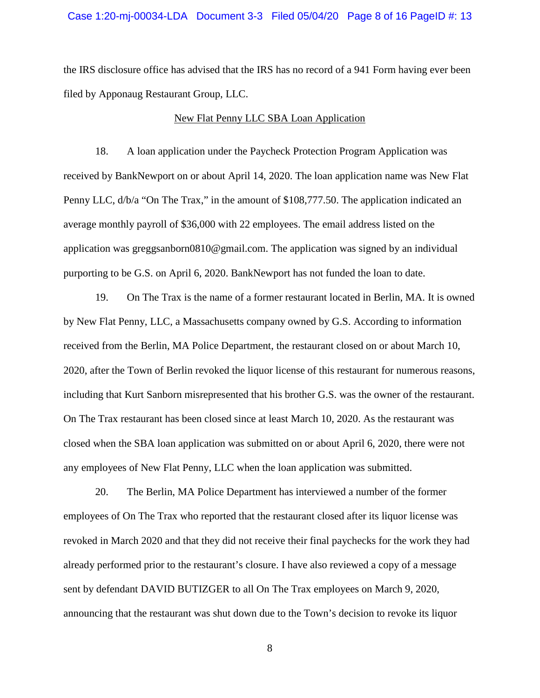#### Case 1:20-mj-00034-LDA Document 3-3 Filed 05/04/20 Page 8 of 16 PageID #: 13

the IRS disclosure office has advised that the IRS has no record of a 941 Form having ever been filed by Apponaug Restaurant Group, LLC.

#### New Flat Penny LLC SBA Loan Application

18. A loan application under the Paycheck Protection Program Application was received by BankNewport on or about April 14, 2020. The loan application name was New Flat Penny LLC, d/b/a "On The Trax," in the amount of \$108,777.50. The application indicated an average monthly payroll of \$36,000 with 22 employees. The email address listed on the application was [greggsanborn0810@gmail.com.](mailto:greggsanborn0810@gmail.com) The application was signed by an individual purporting to be G.S. on April 6, 2020. BankNewport has not funded the loan to date.

19. On The Trax is the name of a former restaurant located in Berlin, MA. It is owned by New Flat Penny, LLC, a Massachusetts company owned by G.S. According to information received from the Berlin, MA Police Department, the restaurant closed on or about March 10, 2020, after the Town of Berlin revoked the liquor license of this restaurant for numerous reasons, including that Kurt Sanborn misrepresented that his brother G.S. was the owner of the restaurant. On The Trax restaurant has been closed since at least March 10, 2020. As the restaurant was closed when the SBA loan application was submitted on or about April 6, 2020, there were not any employees of New Flat Penny, LLC when the loan application was submitted.

20. The Berlin, MA Police Department has interviewed a number of the former employees of On The Trax who reported that the restaurant closed after its liquor license was revoked in March 2020 and that they did not receive their final paychecks for the work they had already performed prior to the restaurant's closure. I have also reviewed a copy of a message sent by defendant DAVID BUTIZGER to all On The Trax employees on March 9, 2020, announcing that the restaurant was shut down due to the Town's decision to revoke its liquor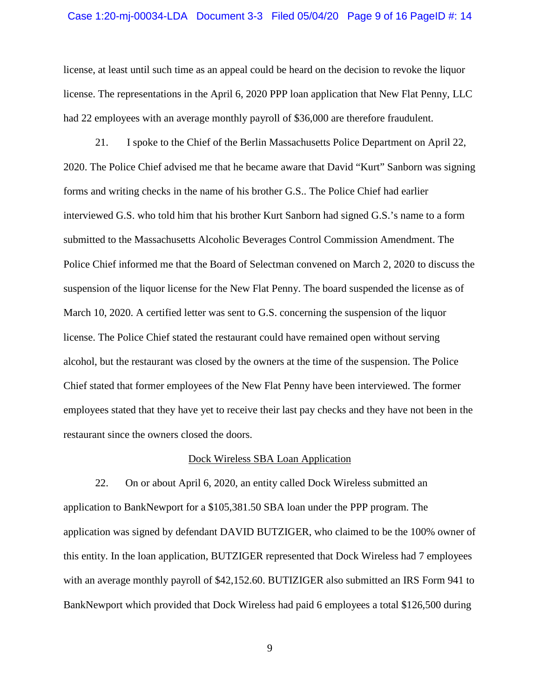#### Case 1:20-mj-00034-LDA Document 3-3 Filed 05/04/20 Page 9 of 16 PageID #: 14

license, at least until such time as an appeal could be heard on the decision to revoke the liquor license. The representations in the April 6, 2020 PPP loan application that New Flat Penny, LLC had 22 employees with an average monthly payroll of \$36,000 are therefore fraudulent.

21. I spoke to the Chief of the Berlin Massachusetts Police Department on April 22, 2020. The Police Chief advised me that he became aware that David "Kurt" Sanborn was signing forms and writing checks in the name of his brother G.S.. The Police Chief had earlier interviewed G.S. who told him that his brother Kurt Sanborn had signed G.S.'s name to a form submitted to the Massachusetts Alcoholic Beverages Control Commission Amendment. The Police Chief informed me that the Board of Selectman convened on March 2, 2020 to discuss the suspension of the liquor license for the New Flat Penny. The board suspended the license as of March 10, 2020. A certified letter was sent to G.S. concerning the suspension of the liquor license. The Police Chief stated the restaurant could have remained open without serving alcohol, but the restaurant was closed by the owners at the time of the suspension. The Police Chief stated that former employees of the New Flat Penny have been interviewed. The former employees stated that they have yet to receive their last pay checks and they have not been in the restaurant since the owners closed the doors.

#### Dock Wireless SBA Loan Application

22. On or about April 6, 2020, an entity called Dock Wireless submitted an application to BankNewport for a \$105,381.50 SBA loan under the PPP program. The application was signed by defendant DAVID BUTZIGER, who claimed to be the 100% owner of this entity. In the loan application, BUTZIGER represented that Dock Wireless had 7 employees with an average monthly payroll of \$42,152.60. BUTIZIGER also submitted an IRS Form 941 to BankNewport which provided that Dock Wireless had paid 6 employees a total \$126,500 during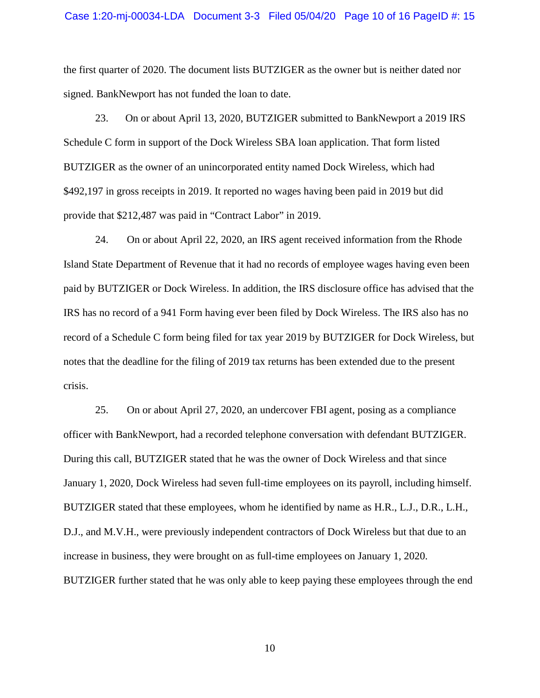#### Case 1:20-mj-00034-LDA Document 3-3 Filed 05/04/20 Page 10 of 16 PageID #: 15

the first quarter of 2020. The document lists BUTZIGER as the owner but is neither dated nor signed. BankNewport has not funded the loan to date.

23. On or about April 13, 2020, BUTZIGER submitted to BankNewport a 2019 IRS Schedule C form in support of the Dock Wireless SBA loan application. That form listed BUTZIGER as the owner of an unincorporated entity named Dock Wireless, which had \$492,197 in gross receipts in 2019. It reported no wages having been paid in 2019 but did provide that \$212,487 was paid in "Contract Labor" in 2019.

24. On or about April 22, 2020, an IRS agent received information from the Rhode Island State Department of Revenue that it had no records of employee wages having even been paid by BUTZIGER or Dock Wireless. In addition, the IRS disclosure office has advised that the IRS has no record of a 941 Form having ever been filed by Dock Wireless. The IRS also has no record of a Schedule C form being filed for tax year 2019 by BUTZIGER for Dock Wireless, but notes that the deadline for the filing of 2019 tax returns has been extended due to the present crisis.

25. On or about April 27, 2020, an undercover FBI agent, posing as a compliance officer with BankNewport, had a recorded telephone conversation with defendant BUTZIGER. During this call, BUTZIGER stated that he was the owner of Dock Wireless and that since January 1, 2020, Dock Wireless had seven full-time employees on its payroll, including himself. BUTZIGER stated that these employees, whom he identified by name as H.R., L.J., D.R., L.H., D.J., and M.V.H., were previously independent contractors of Dock Wireless but that due to an increase in business, they were brought on as full-time employees on January 1, 2020. BUTZIGER further stated that he was only able to keep paying these employees through the end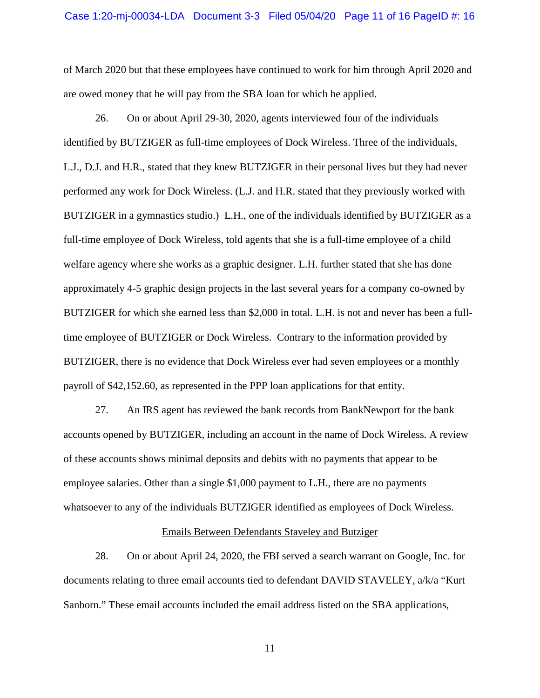#### Case 1:20-mj-00034-LDA Document 3-3 Filed 05/04/20 Page 11 of 16 PageID #: 16

of March 2020 but that these employees have continued to work for him through April 2020 and are owed money that he will pay from the SBA loan for which he applied.

26. On or about April 29-30, 2020, agents interviewed four of the individuals identified by BUTZIGER as full-time employees of Dock Wireless. Three of the individuals, L.J., D.J. and H.R., stated that they knew BUTZIGER in their personal lives but they had never performed any work for Dock Wireless. (L.J. and H.R. stated that they previously worked with BUTZIGER in a gymnastics studio.) L.H., one of the individuals identified by BUTZIGER as a full-time employee of Dock Wireless, told agents that she is a full-time employee of a child welfare agency where she works as a graphic designer. L.H. further stated that she has done approximately 4-5 graphic design projects in the last several years for a company co-owned by BUTZIGER for which she earned less than \$2,000 in total. L.H. is not and never has been a fulltime employee of BUTZIGER or Dock Wireless. Contrary to the information provided by BUTZIGER, there is no evidence that Dock Wireless ever had seven employees or a monthly payroll of \$42,152.60, as represented in the PPP loan applications for that entity.

27. An IRS agent has reviewed the bank records from BankNewport for the bank accounts opened by BUTZIGER, including an account in the name of Dock Wireless. A review of these accounts shows minimal deposits and debits with no payments that appear to be employee salaries. Other than a single \$1,000 payment to L.H., there are no payments whatsoever to any of the individuals BUTZIGER identified as employees of Dock Wireless.

### Emails Between Defendants Staveley and Butziger

28. On or about April 24, 2020, the FBI served a search warrant on Google, Inc. for documents relating to three email accounts tied to defendant DAVID STAVELEY, a/k/a "Kurt Sanborn." These email accounts included the email address listed on the SBA applications,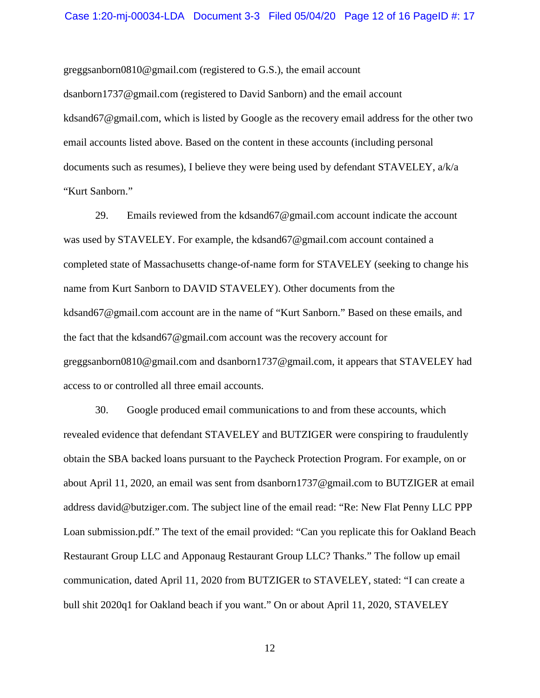[greggsanborn0810@gmail.com](mailto:GREGGSANBORN0810@gmail.com) (registered to G.S.), the email account

[dsanborn1737@gmail.com](mailto:dsanborn1737@gmail.com) (registered to David Sanborn) and the email account [kdsand67@gmail.com,](mailto:kdsand67@gmail.com) which is listed by Google as the recovery email address for the other two email accounts listed above. Based on the content in these accounts (including personal documents such as resumes), I believe they were being used by defendant STAVELEY, a/k/a "Kurt Sanborn."

29. Emails reviewed from the [kdsand67@gmail.com](mailto:kdsand67@gmail.com) account indicate the account was used by STAVELEY. For example, the [kdsand67@gmail.com](mailto:kdsand67@gmail.com) account contained a completed state of Massachusetts change-of-name form for STAVELEY (seeking to change his name from Kurt Sanborn to DAVID STAVELEY). Other documents from the [kdsand67@gmail.com](mailto:kdsand67@gmail.com) account are in the name of "Kurt Sanborn." Based on these emails, and the fact that the [kdsand67@gmail.com](mailto:kdsand67@gmail.com) account was the recovery account for [greggsanborn0810@gmail.com](mailto:greggsanborn0810@gmail.com) and [dsanborn1737@gmail.com,](mailto:dsanborn1737@gmail.com) it appears that STAVELEY had access to or controlled all three email accounts.

30. Google produced email communications to and from these accounts, which revealed evidence that defendant STAVELEY and BUTZIGER were conspiring to fraudulently obtain the SBA backed loans pursuant to the Paycheck Protection Program. For example, on or about April 11, 2020, an email was sent from [dsanborn1737@gmail.com](mailto:dsanborn1737@gmail.com) to BUTZIGER at email address [david@butziger.com.](mailto:david@butziger.com) The subject line of the email read: "Re: New Flat Penny LLC PPP Loan submission.pdf." The text of the email provided: "Can you replicate this for Oakland Beach Restaurant Group LLC and Apponaug Restaurant Group LLC? Thanks." The follow up email communication, dated April 11, 2020 from BUTZIGER to STAVELEY, stated: "I can create a bull shit 2020q1 for Oakland beach if you want." On or about April 11, 2020, STAVELEY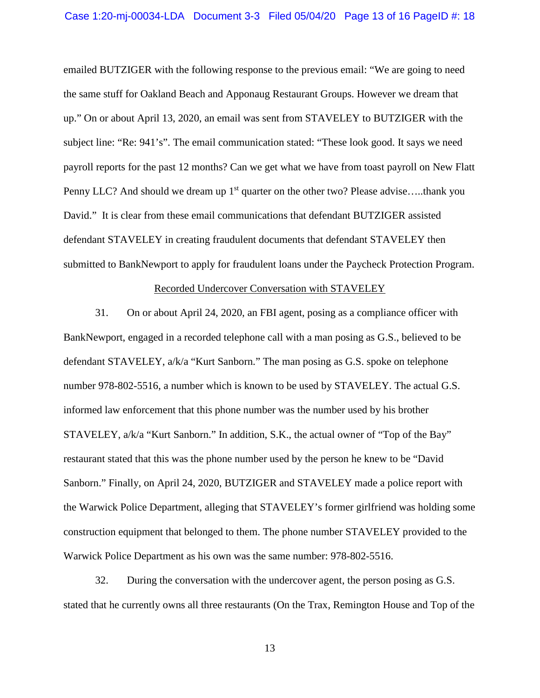emailed BUTZIGER with the following response to the previous email: "We are going to need the same stuff for Oakland Beach and Apponaug Restaurant Groups. However we dream that up." On or about April 13, 2020, an email was sent from STAVELEY to BUTZIGER with the subject line: "Re: 941's". The email communication stated: "These look good. It says we need payroll reports for the past 12 months? Can we get what we have from toast payroll on New Flatt Penny LLC? And should we dream up 1<sup>st</sup> quarter on the other two? Please advise.....thank you David." It is clear from these email communications that defendant BUTZIGER assisted defendant STAVELEY in creating fraudulent documents that defendant STAVELEY then submitted to BankNewport to apply for fraudulent loans under the Paycheck Protection Program.

#### Recorded Undercover Conversation with STAVELEY

31. On or about April 24, 2020, an FBI agent, posing as a compliance officer with BankNewport, engaged in a recorded telephone call with a man posing as G.S., believed to be defendant STAVELEY, a/k/a "Kurt Sanborn." The man posing as G.S. spoke on telephone number 978-802-5516, a number which is known to be used by STAVELEY. The actual G.S. informed law enforcement that this phone number was the number used by his brother STAVELEY, a/k/a "Kurt Sanborn." In addition, S.K., the actual owner of "Top of the Bay" restaurant stated that this was the phone number used by the person he knew to be "David Sanborn." Finally, on April 24, 2020, BUTZIGER and STAVELEY made a police report with the Warwick Police Department, alleging that STAVELEY's former girlfriend was holding some construction equipment that belonged to them. The phone number STAVELEY provided to the Warwick Police Department as his own was the same number: 978-802-5516.

32. During the conversation with the undercover agent, the person posing as G.S. stated that he currently owns all three restaurants (On the Trax, Remington House and Top of the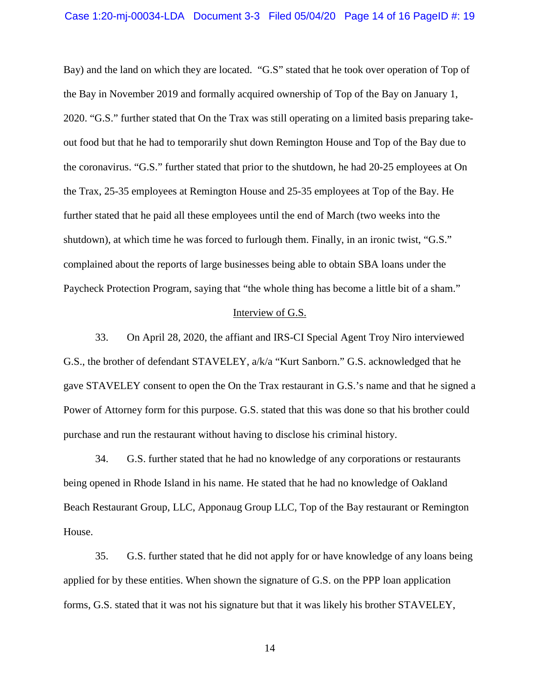Bay) and the land on which they are located. "G.S" stated that he took over operation of Top of the Bay in November 2019 and formally acquired ownership of Top of the Bay on January 1, 2020. "G.S." further stated that On the Trax was still operating on a limited basis preparing takeout food but that he had to temporarily shut down Remington House and Top of the Bay due to the coronavirus. "G.S." further stated that prior to the shutdown, he had 20-25 employees at On the Trax, 25-35 employees at Remington House and 25-35 employees at Top of the Bay. He further stated that he paid all these employees until the end of March (two weeks into the shutdown), at which time he was forced to furlough them. Finally, in an ironic twist, "G.S." complained about the reports of large businesses being able to obtain SBA loans under the Paycheck Protection Program, saying that "the whole thing has become a little bit of a sham."

#### Interview of G.S.

33. On April 28, 2020, the affiant and IRS-CI Special Agent Troy Niro interviewed G.S., the brother of defendant STAVELEY, a/k/a "Kurt Sanborn." G.S. acknowledged that he gave STAVELEY consent to open the On the Trax restaurant in G.S.'s name and that he signed a Power of Attorney form for this purpose. G.S. stated that this was done so that his brother could purchase and run the restaurant without having to disclose his criminal history.

34. G.S. further stated that he had no knowledge of any corporations or restaurants being opened in Rhode Island in his name. He stated that he had no knowledge of Oakland Beach Restaurant Group, LLC, Apponaug Group LLC, Top of the Bay restaurant or Remington House.

35. G.S. further stated that he did not apply for or have knowledge of any loans being applied for by these entities. When shown the signature of G.S. on the PPP loan application forms, G.S. stated that it was not his signature but that it was likely his brother STAVELEY,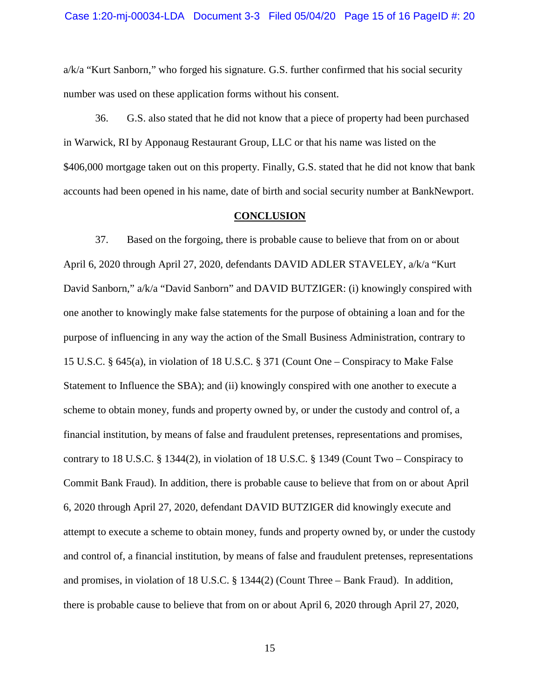a/k/a "Kurt Sanborn," who forged his signature. G.S. further confirmed that his social security number was used on these application forms without his consent.

36. G.S. also stated that he did not know that a piece of property had been purchased in Warwick, RI by Apponaug Restaurant Group, LLC or that his name was listed on the \$406,000 mortgage taken out on this property. Finally, G.S. stated that he did not know that bank accounts had been opened in his name, date of birth and social security number at BankNewport.

#### **CONCLUSION**

37. Based on the forgoing, there is probable cause to believe that from on or about April 6, 2020 through April 27, 2020, defendants DAVID ADLER STAVELEY, a/k/a "Kurt David Sanborn," a/k/a "David Sanborn" and DAVID BUTZIGER: (i) knowingly conspired with one another to knowingly make false statements for the purpose of obtaining a loan and for the purpose of influencing in any way the action of the Small Business Administration, contrary to 15 U.S.C. § 645(a), in violation of 18 U.S.C. § 371 (Count One – Conspiracy to Make False Statement to Influence the SBA); and (ii) knowingly conspired with one another to execute a scheme to obtain money, funds and property owned by, or under the custody and control of, a financial institution, by means of false and fraudulent pretenses, representations and promises, contrary to 18 U.S.C. § 1344(2), in violation of 18 U.S.C. § 1349 (Count Two – Conspiracy to Commit Bank Fraud). In addition, there is probable cause to believe that from on or about April 6, 2020 through April 27, 2020, defendant DAVID BUTZIGER did knowingly execute and attempt to execute a scheme to obtain money, funds and property owned by, or under the custody and control of, a financial institution, by means of false and fraudulent pretenses, representations and promises, in violation of 18 U.S.C. § 1344(2) (Count Three – Bank Fraud). In addition, there is probable cause to believe that from on or about April 6, 2020 through April 27, 2020,